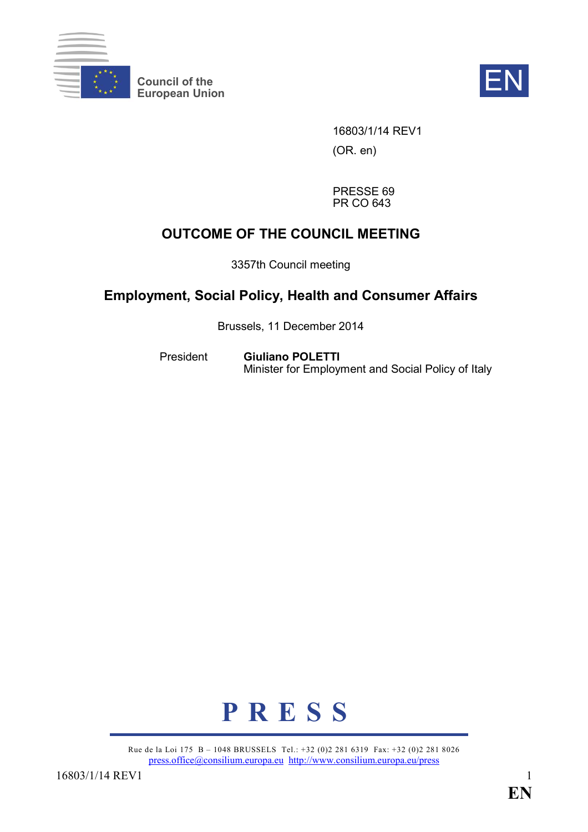

**Council of the**  Council of the **EN**<br>European Union



16803/1/14 REV1 (OR. en)

PRESSE 69 PR CO 643

## **OUTCOME OF THE COUNCIL MEETING**

3357th Council meeting

## **Employment, Social Policy, Health and Consumer Affairs**

Brussels, 11 December 2014

President **Giuliano POLETTI** Minister for Employment and Social Policy of Italy



Rue de la Loi 175 B – 1048 BRUSSELS Tel.: +32 (0)2 281 6319 Fax: +32 (0)2 281 8026 [press.office@consilium.europa.eu](mailto:press.office@consilium.europa.eu) <http://www.consilium.europa.eu/press>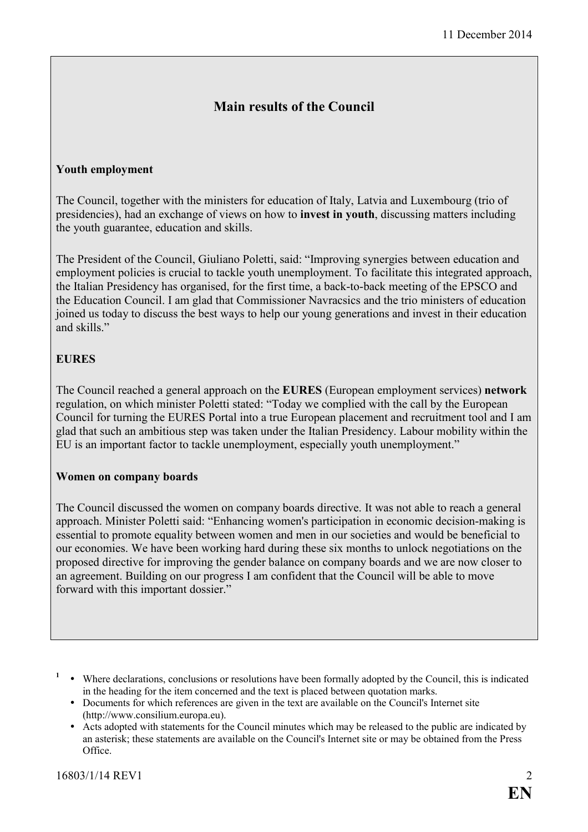### **Main results of the Council**

#### **Youth employment**

The Council, together with the ministers for education of Italy, Latvia and Luxembourg (trio of presidencies), had an exchange of views on how to **invest in youth**, discussing matters including the youth guarantee, education and skills.

The President of the Council, Giuliano Poletti, said: "Improving synergies between education and employment policies is crucial to tackle youth unemployment. To facilitate this integrated approach, the Italian Presidency has organised, for the first time, a back-to-back meeting of the EPSCO and the Education Council. I am glad that Commissioner Navracsics and the trio ministers of education joined us today to discuss the best ways to help our young generations and invest in their education and skills."

#### **EURES**

The Council reached a general approach on the **EURES** (European employment services) **network** regulation, on which minister Poletti stated: "Today we complied with the call by the European Council for turning the EURES Portal into a true European placement and recruitment tool and I am glad that such an ambitious step was taken under the Italian Presidency. Labour mobility within the EU is an important factor to tackle unemployment, especially youth unemployment."

#### **Women on company boards**

The Council discussed the women on company boards directive. It was not able to reach a general approach. Minister Poletti said: "Enhancing women's participation in economic decision-making is essential to promote equality between women and men in our societies and would be beneficial to our economies. We have been working hard during these six months to unlock negotiations on the proposed directive for improving the gender balance on company boards and we are now closer to an agreement. Building on our progress I am confident that the Council will be able to move forward with this important dossier."

<sup>&</sup>lt;sup>1</sup> • Where declarations, conclusions or resolutions have been formally adopted by the Council, this is indicated in the heading for the item concerned and the text is placed between quotation marks.

ü Documents for which references are given in the text are available on the Council's Internet site (http://www.consilium.europa.eu).

ü Acts adopted with statements for the Council minutes which may be released to the public are indicated by an asterisk; these statements are available on the Council's Internet site or may be obtained from the Press Office.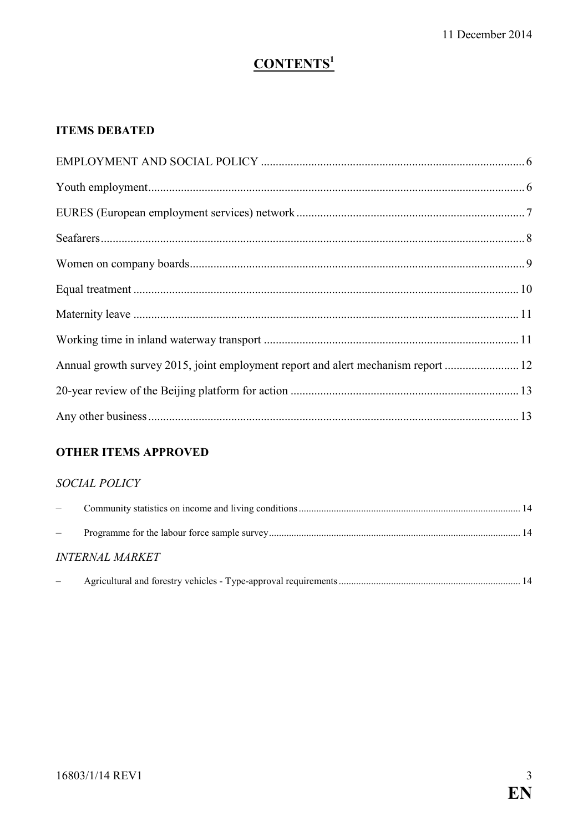# **CONTENTS**<sup>1</sup>

### **ITEMS DEBATED**

| Annual growth survey 2015, joint employment report and alert mechanism report  12 |  |
|-----------------------------------------------------------------------------------|--|
|                                                                                   |  |
|                                                                                   |  |

### **OTHER ITEMS APPROVED**

### SOCIAL POLICY

| $\overline{\phantom{m}}$ |                               |  |
|--------------------------|-------------------------------|--|
|                          |                               |  |
|                          | <i><b>INTERNAL MARKET</b></i> |  |
|                          |                               |  |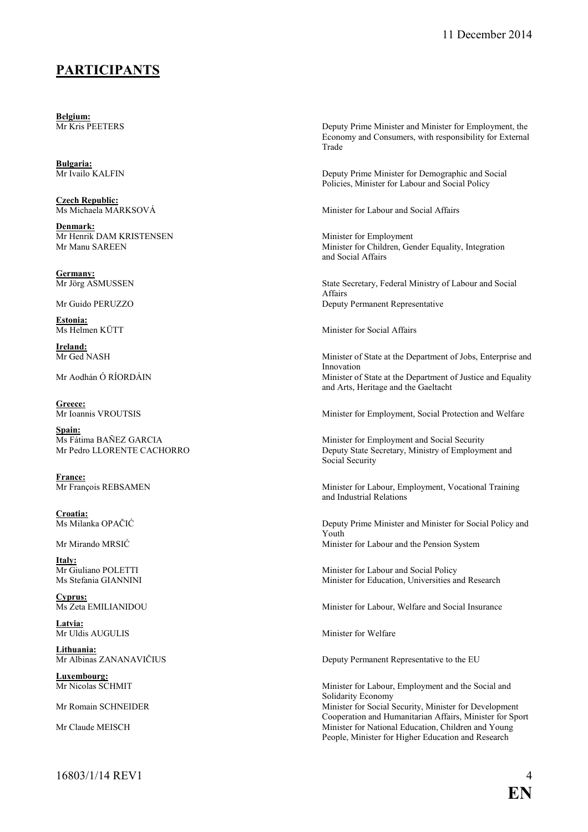### **PARTICIPATS**

**Belgium:**<br>Mr Kris PEETERS

**Bulgaria:**

**Czech Republic:**<br>Ms Michaela MARKSOVÁ

**Denmark:** Mr Henrik DAM KRISTENSEN<br>
Mr Manu SAREEN Minister for Children. Get

**Germany:**

Estonia:<br>Ms Helmen KÜTT

**Ireland:**<br>Mr Ged NASH

Greece:<br>Mr Ioannis VROUTSIS

Spain:<br>Ms Fátima BAÑEZ GARCIA

**France:**<br>Mr François REBSAMEN

**Croatia:**

**Italy:**<br>Mr Giuliano POLETTI

**Cyprus:**

**Latvia:** Mr Uldis AUGULIS Minister for Welfare

**Lithuania:**

**Luxembourg:**

Deputy Prime Minister and Minister for Employment, the Economy and Consumers, with responsibility for External Trade

Deputy Prime Minister for Demographic and Social Policies, Minister for Labour and Social Policy

Minister for Labour and Social Affairs

Minister for Children, Gender Equality, Integration and Social Affairs

Mr Jörg ASMUSSEN State Secretary, Federal Ministry of Labour and Social Affairs Mr Guido PERUZZO **Deputy Permanent Representative** 

Minister for Social Affairs

Minister of State at the Department of Jobs, Enterprise and Innovation Mr Aodhán Ó RÍORDÁIN **Minister of State at the Department of Justice and Equality** and Arts, Heritage and the Gaeltacht

Minister for Employment, Social Protection and Welfare

Ms Fátima BAÑEZ GARCIA<br>
Minister for Employment and Social Security<br>
Mr Pedro LLORENTE CACHORRO<br>
Deputy State Secretary Ministry of Employm Deputy State Secretary, Ministry of Employment and Social Security

> Minister for Labour, Employment, Vocational Training and Industrial Relations

Deputy Prime Minister and Minister for Social Policy and Youth Mr Mirando MRSIĆ Minister for Labour and the Pension System

Mr Giuliano POLETTI<br>
Minister for Labour and Social Policy<br>
Minister for Education Universities and<br>
Minister for Education Universities and<br>
Minister for Education Universities and<br>
Minister for Education Universities and Minister for Education, Universities and Research

Minister for Labour, Welfare and Social Insurance

Deputy Permanent Representative to the EU

Minister for Labour, Employment and the Social and Solidarity Economy Mr Romain SCHNEIDER Minister for Social Security, Minister for Development Cooperation and Humanitarian Affairs, Minister for Sport Mr Claude MEISCH Minister for National Education, Children and Young People, Minister for Higher Education and Research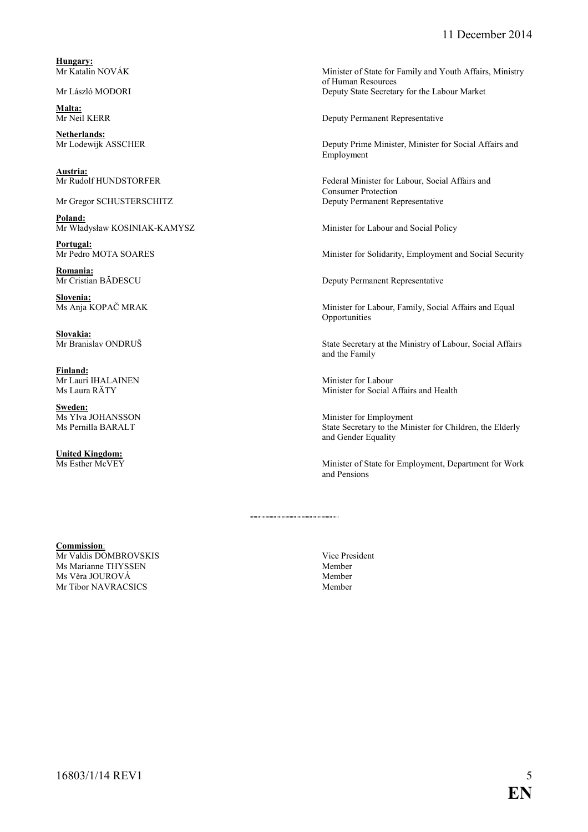**Hungary:**<br>Mr Katalin NOVÁK

**Malta:**

**Netherlands:**<br>Mr Lodewijk ASSCHER

**Austria:**<br>Mr Rudolf HUNDSTORFER

**Poland:** Mr Władysław KOSINIAK-KAMYSZ Minister for Labour and Social Policy

**Portugal:**<br>Mr Pedro MOTA SOARES

**Romania:**<br>Mr Cristian BĂDESCU

**Slovenia:**

**Slovakia:**<br>Mr Branislav ONDRUŠ

**Finland:** Mr Lauri IHALAINEN Minister for Labour<br>
Ms Laura RÄTY Minister for Social A

**Sweden:**<br>Ms Ylva JOHANSSON

**United Kingdom:**

Minister of State for Family and Youth Affairs, Ministry of Human Resources Mr László MODORI Deputy State Secretary for the Labour Market

Deputy Permanent Representative

Deputy Prime Minister, Minister for Social Affairs and Employment

Federal Minister for Labour, Social Affairs and Consumer Protection Mr Gregor SCHUSTERSCHITZ Deputy Permanent Representative

Minister for Solidarity, Employment and Social Security

Deputy Permanent Representative

Minister for Labour, Family, Social Affairs and Equal Opportunities

State Secretary at the Ministry of Labour, Social Affairs and the Family

Minister for Social Affairs and Health

Ms Ylva JOHANSSON Minister for Employment<br>Ms Pernilla BARALT State Secretary to the Min State Secretary to the Minister for Children, the Elderly and Gender Equality

> Minister of State for Employment, Department for Work and Pensions

#### **Commission**:

Mr Valdis DOMBROVSKIS<br>
Ms Marianne THYSSEN<br>
Member<br>
Member Ms Marianne THYSSEN<br>
Ms Věra JOUROVÁ Member<br>
Member Ms Věra JOUROVÁ Mr Tibor NAVRACSICS Member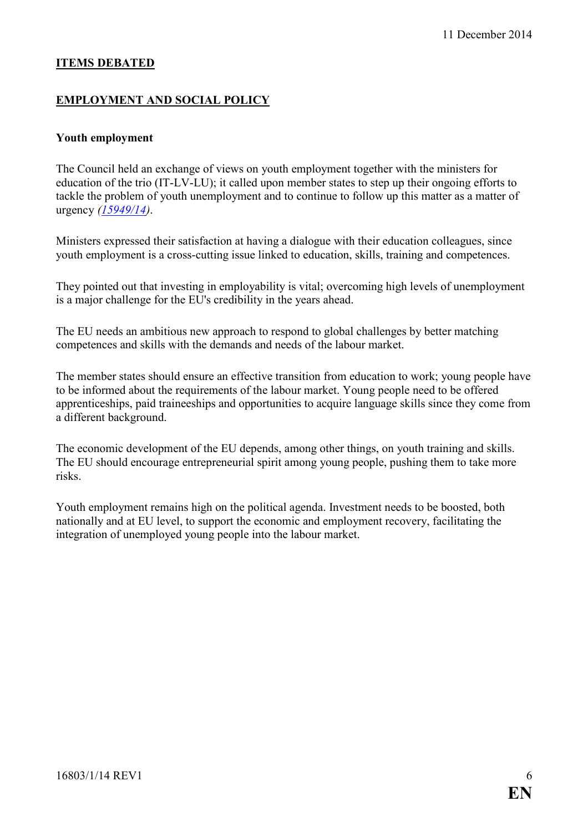#### **ITEMS DEBATED**

#### **EMPLOYMENT AND SOCIAL POLICY**

#### **Youth employment**

The Council held an exchange of views on youth employment together with the ministers for education of the trio (IT-LV-LU); it called upon member states to step up their ongoing efforts to tackle the problem of youth unemployment and to continue to follow up this matter as a matter of urgency *[\(15949/14\)](http://register.consilium.europa.eu/pdf/en/14/st15/st15949.en14.pdf)*.

Ministers expressed their satisfaction at having a dialogue with their education colleagues, since youth employment is a cross-cutting issue linked to education, skills, training and competences.

They pointed out that investing in employability is vital; overcoming high levels of unemployment is a major challenge for the EU's credibility in the years ahead.

The EU needs an ambitious new approach to respond to global challenges by better matching competences and skills with the demands and needs of the labour market.

The member states should ensure an effective transition from education to work; young people have to be informed about the requirements of the labour market. Young people need to be offered apprenticeships, paid traineeships and opportunities to acquire language skills since they come from a different background.

The economic development of the EU depends, among other things, on youth training and skills. The EU should encourage entrepreneurial spirit among young people, pushing them to take more risks.

Youth employment remains high on the political agenda. Investment needs to be boosted, both nationally and at EU level, to support the economic and employment recovery, facilitating the integration of unemployed young people into the labour market.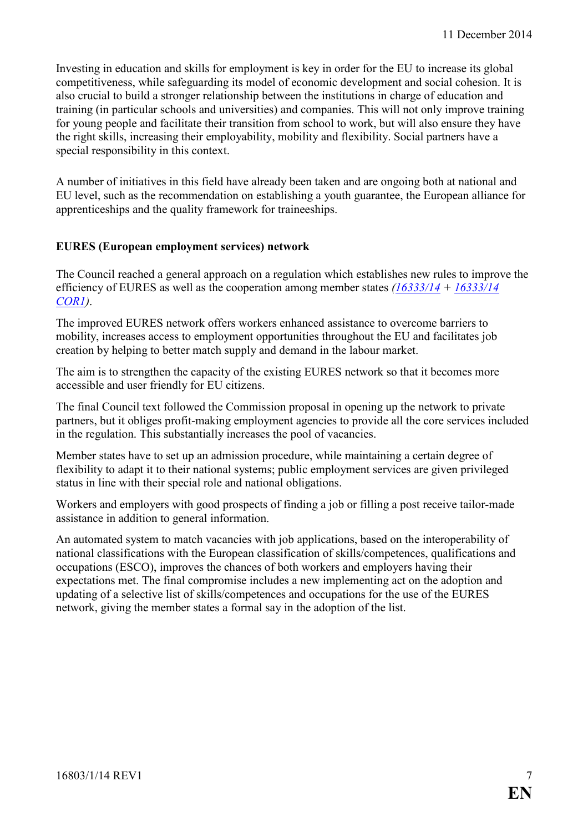Investing in education and skills for employment is key in order for the EU to increase its global competitiveness, while safeguarding its model of economic development and social cohesion. It is also crucial to build a stronger relationship between the institutions in charge of education and training (in particular schools and universities) and companies. This will not only improve training for young people and facilitate their transition from school to work, but will also ensure they have the right skills, increasing their employability, mobility and flexibility. Social partners have a special responsibility in this context.

A number of initiatives in this field have already been taken and are ongoing both at national and EU level, such as the recommendation on establishing a youth guarantee, the European alliance for apprenticeships and the quality framework for traineeships.

#### **EURES (European employment services) network**

The Council reached a general approach on a regulation which establishes new rules to improve the efficiency of EURES as well as the cooperation among member states *[\(16333/14](http://register.consilium.europa.eu/pdf/en/14/st16/st16333.en14.pdf) + [16333/14](http://register.consilium.europa.eu/pdf/en/14/st16/st16333-co01.en14.pdf)  [COR1\)](http://register.consilium.europa.eu/pdf/en/14/st16/st16333-co01.en14.pdf)*.

The improved EURES network offers workers enhanced assistance to overcome barriers to mobility, increases access to employment opportunities throughout the EU and facilitates job creation by helping to better match supply and demand in the labour market.

The aim is to strengthen the capacity of the existing EURES network so that it becomes more accessible and user friendly for EU citizens.

The final Council text followed the Commission proposal in opening up the network to private partners, but it obliges profit-making employment agencies to provide all the core services included in the regulation. This substantially increases the pool of vacancies.

Member states have to set up an admission procedure, while maintaining a certain degree of flexibility to adapt it to their national systems; public employment services are given privileged status in line with their special role and national obligations.

Workers and employers with good prospects of finding a job or filling a post receive tailor-made assistance in addition to general information.

An automated system to match vacancies with job applications, based on the interoperability of national classifications with the European classification of skills/competences, qualifications and occupations (ESCO), improves the chances of both workers and employers having their expectations met. The final compromise includes a new implementing act on the adoption and updating of a selective list of skills/competences and occupations for the use of the EURES network, giving the member states a formal say in the adoption of the list.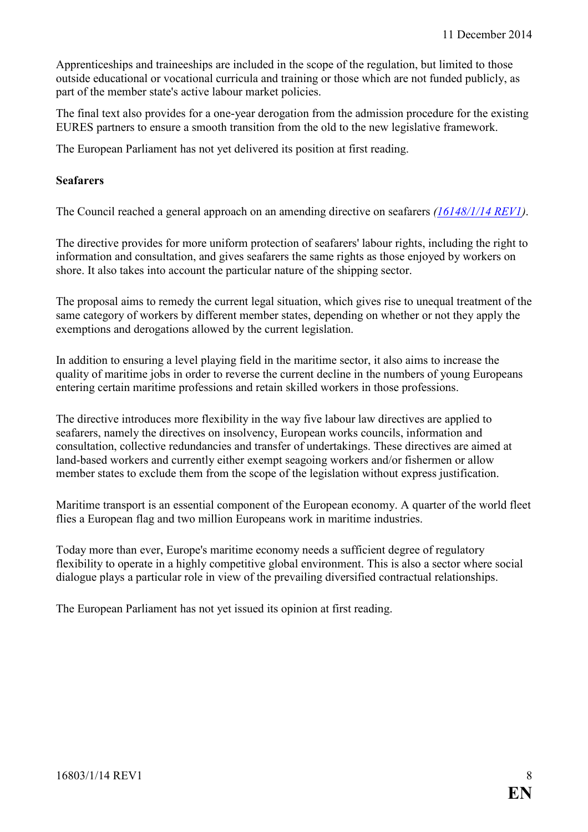Apprenticeships and traineeships are included in the scope of the regulation, but limited to those outside educational or vocational curricula and training or those which are not funded publicly, as part of the member state's active labour market policies.

The final text also provides for a one-year derogation from the admission procedure for the existing EURES partners to ensure a smooth transition from the old to the new legislative framework.

The European Parliament has not yet delivered its position at first reading.

#### **Seafarers**

The Council reached a general approach on an amending directive on seafarers *[\(16148/1/14 REV1\)](http://register.consilium.europa.eu/pdf/en/14/st16/st16148-re01.en14.pdf)*.

The directive provides for more uniform protection of seafarers' labour rights, including the right to information and consultation, and gives seafarers the same rights as those enjoyed by workers on shore. It also takes into account the particular nature of the shipping sector.

The proposal aims to remedy the current legal situation, which gives rise to unequal treatment of the same category of workers by different member states, depending on whether or not they apply the exemptions and derogations allowed by the current legislation.

In addition to ensuring a level playing field in the maritime sector, it also aims to increase the quality of maritime jobs in order to reverse the current decline in the numbers of young Europeans entering certain maritime professions and retain skilled workers in those professions.

The directive introduces more flexibility in the way five labour law directives are applied to seafarers, namely the directives on insolvency, European works councils, information and consultation, collective redundancies and transfer of undertakings. These directives are aimed at land-based workers and currently either exempt seagoing workers and/or fishermen or allow member states to exclude them from the scope of the legislation without express justification.

Maritime transport is an essential component of the European economy. A quarter of the world fleet flies a European flag and two million Europeans work in maritime industries.

Today more than ever, Europe's maritime economy needs a sufficient degree of regulatory flexibility to operate in a highly competitive global environment. This is also a sector where social dialogue plays a particular role in view of the prevailing diversified contractual relationships.

The European Parliament has not yet issued its opinion at first reading.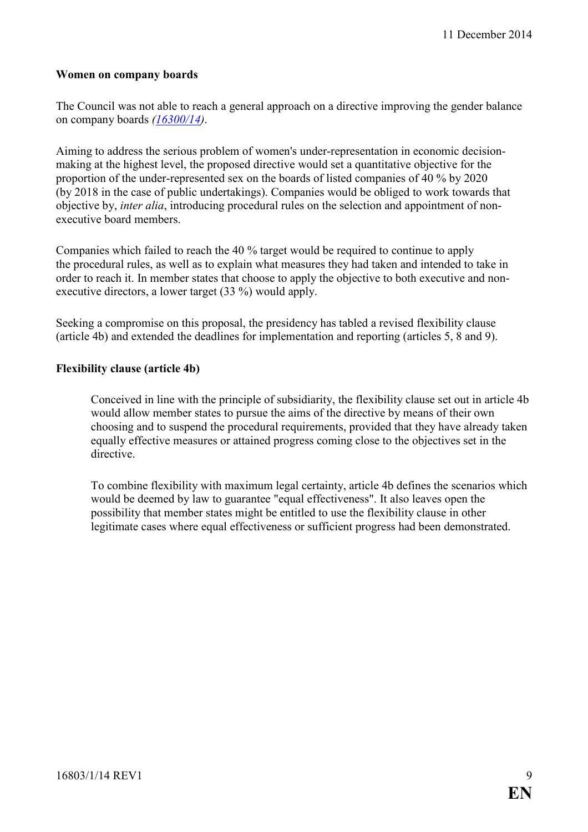#### **Women on company boards**

The Council was not able to reach a general approach on a directive improving the gender balance on company boards *([16300/14\)](http://register.consilium.europa.eu/pdf/en/14/st16/st16300.en14.pdf)*.

Aiming to address the serious problem of women's under-representation in economic decisionmaking at the highest level, the proposed directive would set a quantitative objective for the proportion of the under-represented sex on the boards of listed companies of 40 % by 2020 (by 2018 in the case of public undertakings). Companies would be obliged to work towards that objective by, *inter alia*, introducing procedural rules on the selection and appointment of nonexecutive board members.

Companies which failed to reach the 40 % target would be required to continue to apply the procedural rules, as well as to explain what measures they had taken and intended to take in order to reach it. In member states that choose to apply the objective to both executive and nonexecutive directors, a lower target (33 %) would apply.

Seeking a compromise on this proposal, the presidency has tabled a revised flexibility clause (article 4b) and extended the deadlines for implementation and reporting (articles 5, 8 and 9).

#### **Flexibility clause (article 4b)**

Conceived in line with the principle of subsidiarity, the flexibility clause set out in article 4b would allow member states to pursue the aims of the directive by means of their own choosing and to suspend the procedural requirements, provided that they have already taken equally effective measures or attained progress coming close to the objectives set in the directive.

To combine flexibility with maximum legal certainty, article 4b defines the scenarios which would be deemed by law to guarantee "equal effectiveness". It also leaves open the possibility that member states might be entitled to use the flexibility clause in other legitimate cases where equal effectiveness or sufficient progress had been demonstrated.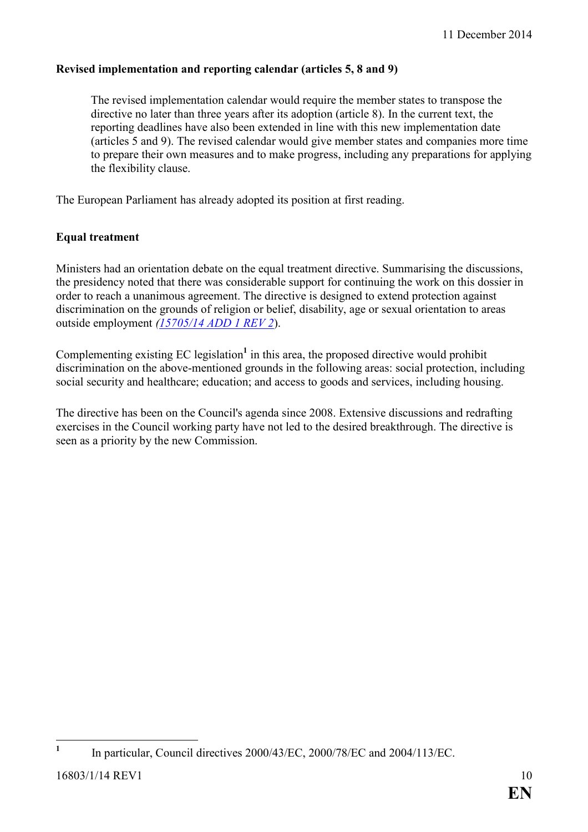#### **Revised implementation and reporting calendar (articles 5, 8 and 9)**

The revised implementation calendar would require the member states to transpose the directive no later than three years after its adoption (article 8). In the current text, the reporting deadlines have also been extended in line with this new implementation date (articles 5 and 9). The revised calendar would give member states and companies more time to prepare their own measures and to make progress, including any preparations for applying the flexibility clause.

The European Parliament has already adopted its position at first reading.

#### **Equal treatment**

Ministers had an orientation debate on the equal treatment directive. Summarising the discussions, the presidency noted that there was considerable support for continuing the work on this dossier in order to reach a unanimous agreement. The directive is designed to extend protection against discrimination on the grounds of religion or belief, disability, age or sexual orientation to areas outside employment *[\(15705/14 ADD 1 REV 2](http://register.consilium.europa.eu/pdf/en/14/st15/st15705-ad01re01.en14.pdf)*).

Complementing existing EC legislation<sup>1</sup> in this area, the proposed directive would prohibit discrimination on the above-mentioned grounds in the following areas: social protection, including social security and healthcare; education; and access to goods and services, including housing.

The directive has been on the Council's agenda since 2008. Extensive discussions and redrafting exercises in the Council working party have not led to the desired breakthrough. The directive is seen as a priority by the new Commission.

 $\overline{a}$ **1** In particular, Council directives 2000/43/EC, 2000/78/EC and 2004/113/EC.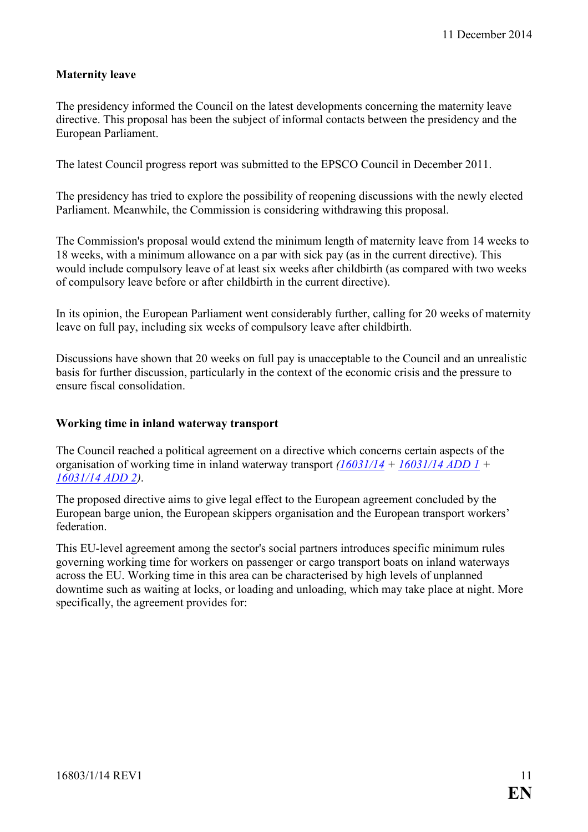#### **Maternity leave**

The presidency informed the Council on the latest developments concerning the maternity leave directive. This proposal has been the subject of informal contacts between the presidency and the European Parliament.

The latest Council progress report was submitted to the EPSCO Council in December 2011.

The presidency has tried to explore the possibility of reopening discussions with the newly elected Parliament. Meanwhile, the Commission is considering withdrawing this proposal.

The Commission's proposal would extend the minimum length of maternity leave from 14 weeks to 18 weeks, with a minimum allowance on a par with sick pay (as in the current directive). This would include compulsory leave of at least six weeks after childbirth (as compared with two weeks of compulsory leave before or after childbirth in the current directive).

In its opinion, the European Parliament went considerably further, calling for 20 weeks of maternity leave on full pay, including six weeks of compulsory leave after childbirth.

Discussions have shown that 20 weeks on full pay is unacceptable to the Council and an unrealistic basis for further discussion, particularly in the context of the economic crisis and the pressure to ensure fiscal consolidation.

#### **Working time in inland waterway transport**

The Council reached a political agreement on a directive which concerns certain aspects of the organisation of working time in inland waterway transport *([16031/14](http://register.consilium.europa.eu/pdf/en/14/st16/st16031.en14.pdf) + [16031/14 ADD 1](http://register.consilium.europa.eu/pdf/en/14/st16/st16031-ad01.en14.pdf) + [16031/14 ADD 2](http://register.consilium.europa.eu/pdf/en/14/st16/st16031-ad02.en14.pdf))*.

The proposed directive aims to give legal effect to the European agreement concluded by the European barge union, the European skippers organisation and the European transport workers' federation.

This EU-level agreement among the sector's social partners introduces specific minimum rules governing working time for workers on passenger or cargo transport boats on inland waterways across the EU. Working time in this area can be characterised by high levels of unplanned downtime such as waiting at locks, or loading and unloading, which may take place at night. More specifically, the agreement provides for: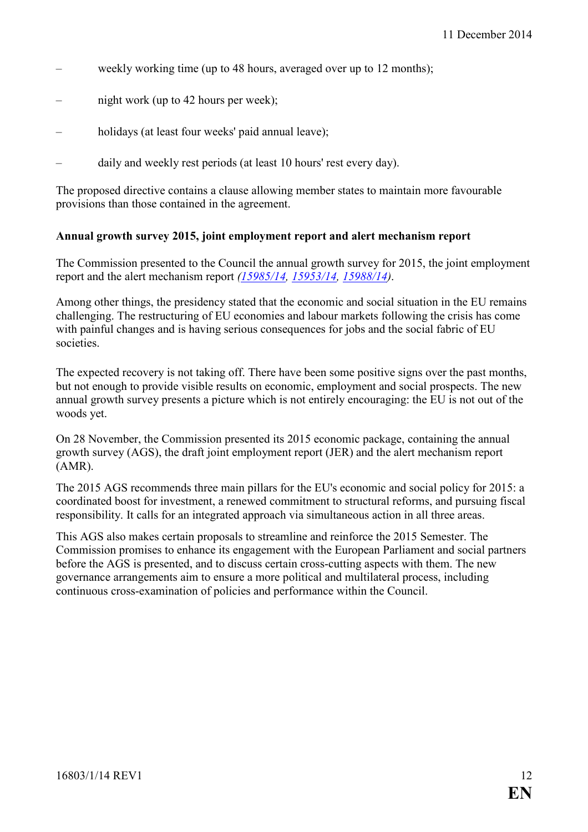- weekly working time (up to 48 hours, averaged over up to 12 months);
- hight work (up to 42 hours per week);
- holidays (at least four weeks' paid annual leave);
- daily and weekly rest periods (at least 10 hours' rest every day).

The proposed directive contains a clause allowing member states to maintain more favourable provisions than those contained in the agreement.

#### **Annual growth survey 2015, joint employment report and alert mechanism report**

The Commission presented to the Council the annual growth survey for 2015, the joint employment report and the alert mechanism report *([15985/14,](http://register.consilium.europa.eu/pdf/en/14/st15/st15985.en14.pdf) [15953/14,](http://register.consilium.europa.eu/pdf/en/14/st15/st15953.en14.pdf) [15988/14\)](http://register.consilium.europa.eu/pdf/en/14/st15/st15988.en14.pdf)*.

Among other things, the presidency stated that the economic and social situation in the EU remains challenging. The restructuring of EU economies and labour markets following the crisis has come with painful changes and is having serious consequences for jobs and the social fabric of EU societies.

The expected recovery is not taking off. There have been some positive signs over the past months, but not enough to provide visible results on economic, employment and social prospects. The new annual growth survey presents a picture which is not entirely encouraging: the EU is not out of the woods yet.

On 28 November, the Commission presented its 2015 economic package, containing the annual growth survey (AGS), the draft joint employment report (JER) and the alert mechanism report (AMR).

The 2015 AGS recommends three main pillars for the EU's economic and social policy for 2015: a coordinated boost for investment, a renewed commitment to structural reforms, and pursuing fiscal responsibility. It calls for an integrated approach via simultaneous action in all three areas.

This AGS also makes certain proposals to streamline and reinforce the 2015 Semester. The Commission promises to enhance its engagement with the European Parliament and social partners before the AGS is presented, and to discuss certain cross-cutting aspects with them. The new governance arrangements aim to ensure a more political and multilateral process, including continuous cross-examination of policies and performance within the Council.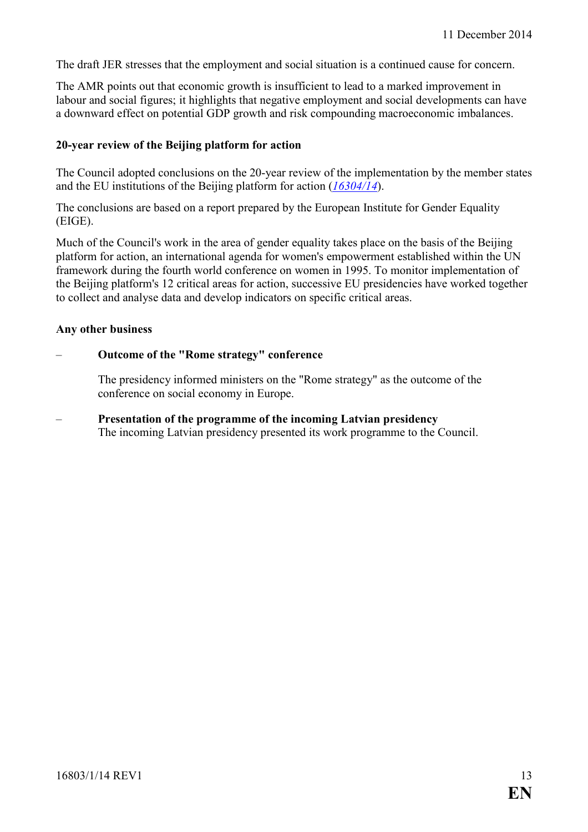The draft JER stresses that the employment and social situation is a continued cause for concern.

The AMR points out that economic growth is insufficient to lead to a marked improvement in labour and social figures; it highlights that negative employment and social developments can have a downward effect on potential GDP growth and risk compounding macroeconomic imbalances.

#### **20-year review of the Beijing platform for action**

The Council adopted conclusions on the 20-year review of the implementation by the member states and the EU institutions of the Beijing platform for action (*[16304/14](http://register.consilium.europa.eu/pdf/en/14/st16/st16304.en14.pdf)*).

The conclusions are based on a report prepared by the European Institute for Gender Equality (EIGE).

Much of the Council's work in the area of gender equality takes place on the basis of the Beijing platform for action, an international agenda for women's empowerment established within the UN framework during the fourth world conference on women in 1995. To monitor implementation of the Beijing platform's 12 critical areas for action, successive EU presidencies have worked together to collect and analyse data and develop indicators on specific critical areas.

#### **Any other business**

#### – **Outcome of the "Rome strategy" conference**

The presidency informed ministers on the "Rome strategy" as the outcome of the conference on social economy in Europe.

– **Presentation of the programme of the incoming Latvian presidency**  The incoming Latvian presidency presented its work programme to the Council.